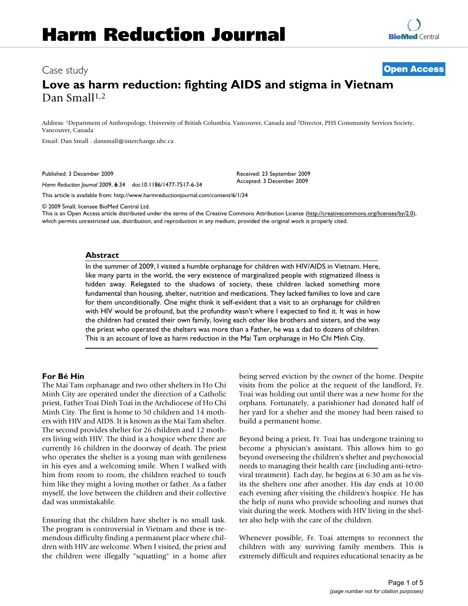## Case study **[Open Access](http://www.biomedcentral.com/info/about/charter/)**

# **Love as harm reduction: fighting AIDS and stigma in Vietnam** Dan Small<sup>1,2</sup>

Address: 1Department of Anthropology, University of British Columbia, Vancouver, Canada and 2Director, PHS Community Services Society, Vancouver, Canada

Email: Dan Small - dansmall@interchange.ubc.ca

Published: 3 December 2009

*Harm Reduction Journal* 2009, **6**:34 doi:10.1186/1477-7517-6-34

[This article is available from: http://www.harmreductionjournal.com/content/6/1/34](http://www.harmreductionjournal.com/content/6/1/34)

© 2009 Small; licensee BioMed Central Ltd.

This is an Open Access article distributed under the terms of the Creative Commons Attribution License [\(http://creativecommons.org/licenses/by/2.0\)](http://creativecommons.org/licenses/by/2.0), which permits unrestricted use, distribution, and reproduction in any medium, provided the original work is properly cited.

Received: 23 September 2009 Accepted: 3 December 2009

#### **Abstract**

In the summer of 2009, I visited a humble orphanage for children with HIV/AIDS in Vietnam. Here, like many parts in the world, the very existence of marginalized people with stigmatized illness is hidden away. Relegated to the shadows of society, these children lacked something more fundamental than housing, shelter, nutrition and medications. They lacked families to love and care for them unconditionally. One might think it self-evident that a visit to an orphanage for children with HIV would be profound, but the profundity wasn't where I expected to find it. It was in how the children had created their own family, loving each other like brothers and sisters, and the way the priest who operated the shelters was more than a Father, he was a dad to dozens of children. This is an account of love as harm reduction in the Mai Tam orphanage in Ho Chi Minh City.

#### **For Bé Hin**

The Mai Tam orphanage and two other shelters in Ho Chi Minh City are operated under the direction of a Catholic priest, Father Toai Dinh Toai in the Archdiocese of Ho Chi Minh City. The first is home to 50 children and 14 mothers with HIV and AIDS. It is known as the Mai Tam shelter. The second provides shelter for 26 children and 12 mothers living with HIV. The third is a hospice where there are currently 16 children in the doorway of death. The priest who operates the shelter is a young man with gentleness in his eyes and a welcoming smile. When I walked with him from room to room, the children reached to touch him like they might a loving mother or father. As a father myself, the love between the children and their collective dad was unmistakable.

Ensuring that the children have shelter is no small task. The program is controversial in Vietnam and there is tremendous difficulty finding a permanent place where children with HIV are welcome. When I visited, the priest and the children were illegally "squatting" in a home after being served eviction by the owner of the home. Despite visits from the police at the request of the landlord, Fr. Toai was holding out until there was a new home for the orphans. Fortunately, a parishioner had donated half of her yard for a shelter and the money had been raised to build a permanent home.

Beyond being a priest, Fr. Toai has undergone training to become a physician's assistant. This allows him to go beyond overseeing the children's shelter and psychosocial needs to managing their health care (including anti-retroviral treatment). Each day, he begins at 6:30 am as he visits the shelters one after another. His day ends at 10:00 each evening after visiting the children's hospice. He has the help of nuns who provide schooling and nurses that visit during the week. Mothers with HIV living in the shelter also help with the care of the children.

Whenever possible, Fr. Toai attempts to reconnect the children with any surviving family members. This is extremely difficult and requires educational tenacity as he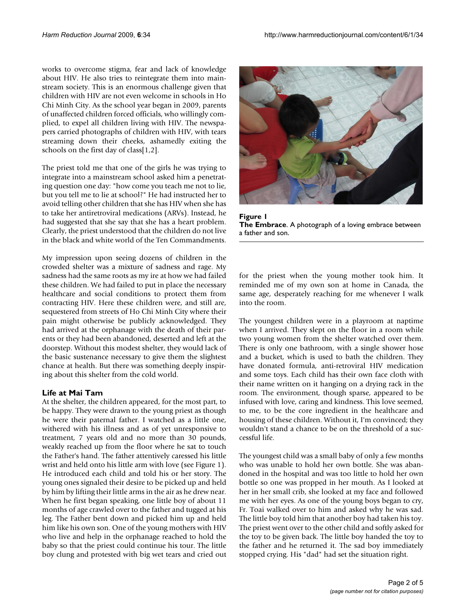works to overcome stigma, fear and lack of knowledge about HIV. He also tries to reintegrate them into mainstream society. This is an enormous challenge given that children with HIV are not even welcome in schools in Ho Chi Minh City. As the school year began in 2009, parents of unaffected children forced officials, who willingly complied, to expel all children living with HIV. The newspapers carried photographs of children with HIV, with tears streaming down their cheeks, ashamedly exiting the schools on the first day of class[1,2].

The priest told me that one of the girls he was trying to integrate into a mainstream school asked him a penetrating question one day: "how come you teach me not to lie, but you tell me to lie at school?" He had instructed her to avoid telling other children that she has HIV when she has to take her antiretroviral medications (ARVs). Instead, he had suggested that she say that she has a heart problem. Clearly, the priest understood that the children do not live in the black and white world of the Ten Commandments.

My impression upon seeing dozens of children in the crowded shelter was a mixture of sadness and rage. My sadness had the same roots as my ire at how we had failed these children. We had failed to put in place the necessary healthcare and social conditions to protect them from contracting HIV. Here these children were, and still are, sequestered from streets of Ho Chi Minh City where their pain might otherwise be publicly acknowledged. They had arrived at the orphanage with the death of their parents or they had been abandoned, deserted and left at the doorstep. Without this modest shelter, they would lack of the basic sustenance necessary to give them the slightest chance at health. But there was something deeply inspiring about this shelter from the cold world.

#### **Life at Mai Tam**

At the shelter, the children appeared, for the most part, to be happy. They were drawn to the young priest as though he were their paternal father. I watched as a little one, withered with his illness and as of yet unresponsive to treatment, 7 years old and no more than 30 pounds, weakly reached up from the floor where he sat to touch the Father's hand. The father attentively caressed his little wrist and held onto his little arm with love (see Figure 1). He introduced each child and told his or her story. The young ones signaled their desire to be picked up and held by him by lifting their little arms in the air as he drew near. When he first began speaking, one little boy of about 11 months of age crawled over to the father and tugged at his leg. The Father bent down and picked him up and held him like his own son. One of the young mothers with HIV who live and help in the orphanage reached to hold the baby so that the priest could continue his tour. The little boy clung and protested with big wet tears and cried out



**Figure 1 The Embrace**. A photograph of a loving embrace between a father and son.

for the priest when the young mother took him. It reminded me of my own son at home in Canada, the same age, desperately reaching for me whenever I walk into the room.

The youngest children were in a playroom at naptime when I arrived. They slept on the floor in a room while two young women from the shelter watched over them. There is only one bathroom, with a single shower hose and a bucket, which is used to bath the children. They have donated formula, anti-retroviral HIV medication and some toys. Each child has their own face cloth with their name written on it hanging on a drying rack in the room. The environment, though sparse, appeared to be infused with love, caring and kindness. This love seemed, to me, to be the core ingredient in the healthcare and housing of these children. Without it, I'm convinced; they wouldn't stand a chance to be on the threshold of a successful life.

The youngest child was a small baby of only a few months who was unable to hold her own bottle. She was abandoned in the hospital and was too little to hold her own bottle so one was propped in her mouth. As I looked at her in her small crib, she looked at my face and followed me with her eyes. As one of the young boys began to cry, Fr. Toai walked over to him and asked why he was sad. The little boy told him that another boy had taken his toy. The priest went over to the other child and softly asked for the toy to be given back. The little boy handed the toy to the father and he returned it. The sad boy immediately stopped crying. His "dad" had set the situation right.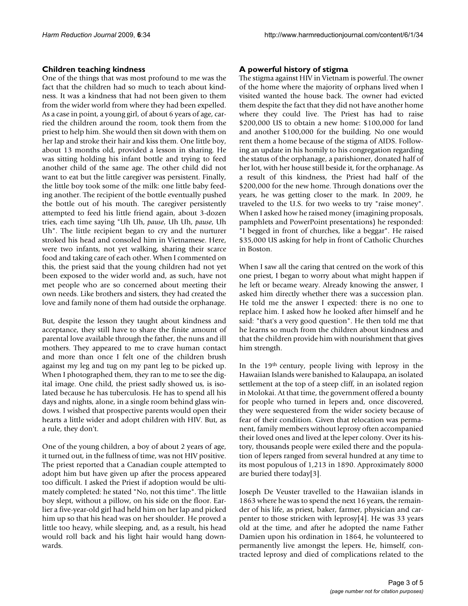#### **Children teaching kindness**

One of the things that was most profound to me was the fact that the children had so much to teach about kindness. It was a kindness that had not been given to them from the wider world from where they had been expelled. As a case in point, a young girl, of about 6 years of age, carried the children around the room, took them from the priest to help him. She would then sit down with them on her lap and stroke their hair and kiss them. One little boy, about 13 months old, provided a lesson in sharing. He was sitting holding his infant bottle and trying to feed another child of the same age. The other child did not want to eat but the little caregiver was persistent. Finally, the little boy took some of the milk: one little baby feeding another. The recipient of the bottle eventually pushed the bottle out of his mouth. The caregiver persistently attempted to feed his little friend again, about 3-dozen tries, each time saying "Uh Uh, *pause*, Uh Uh, *pause*, Uh Uh". The little recipient began to cry and the nurturer stroked his head and consoled him in Vietnamese. Here, were two infants, not yet walking, sharing their scarce food and taking care of each other. When I commented on this, the priest said that the young children had not yet been exposed to the wider world and, as such, have not met people who are so concerned about meeting their own needs. Like brothers and sisters, they had created the love and family none of them had outside the orphanage.

But, despite the lesson they taught about kindness and acceptance, they still have to share the finite amount of parental love available through the father, the nuns and ill mothers. They appeared to me to crave human contact and more than once I felt one of the children brush against my leg and tug on my pant leg to be picked up. When I photographed them, they ran to me to see the digital image. One child, the priest sadly showed us, is isolated because he has tuberculosis. He has to spend all his days and nights, alone, in a single room behind glass windows. I wished that prospective parents would open their hearts a little wider and adopt children with HIV. But, as a rule, they don't.

One of the young children, a boy of about 2 years of age, it turned out, in the fullness of time, was not HIV positive. The priest reported that a Canadian couple attempted to adopt him but have given up after the process appeared too difficult. I asked the Priest if adoption would be ultimately completed: he stated "No, not this time". The little boy slept, without a pillow, on his side on the floor. Earlier a five-year-old girl had held him on her lap and picked him up so that his head was on her shoulder. He proved a little too heavy, while sleeping, and, as a result, his head would roll back and his light hair would hang downwards.

### **A powerful history of stigma**

The stigma against HIV in Vietnam is powerful. The owner of the home where the majority of orphans lived when I visited wanted the house back. The owner had evicted them despite the fact that they did not have another home where they could live. The Priest has had to raise \$200,000 US to obtain a new home: \$100,000 for land and another \$100,000 for the building. No one would rent them a home because of the stigma of AIDS. Following an update in his homily to his congregation regarding the status of the orphanage, a parishioner, donated half of her lot, with her house still beside it, for the orphanage. As a result of this kindness, the Priest had half of the \$200,000 for the new home. Through donations over the years, he was getting closer to the mark. In 2009, he traveled to the U.S. for two weeks to try "raise money". When I asked how he raised money (imagining proposals, pamphlets and PowerPoint presentations) he responded: "I begged in front of churches, like a beggar". He raised \$35,000 US asking for help in front of Catholic Churches in Boston.

When I saw all the caring that centred on the work of this one priest, I began to worry about what might happen if he left or became weary. Already knowing the answer, I asked him directly whether there was a succession plan. He told me the answer I expected: there is no one to replace him. I asked how he looked after himself and he said: "that's a very good question". He then told me that he learns so much from the children about kindness and that the children provide him with nourishment that gives him strength.

In the 19th century, people living with leprosy in the Hawaiian Islands were banished to Kalaupapa, an isolated settlement at the top of a steep cliff, in an isolated region in Molokai. At that time, the government offered a bounty for people who turned in lepers and, once discovered, they were sequestered from the wider society because of fear of their condition. Given that relocation was permanent, family members without leprosy often accompanied their loved ones and lived at the leper colony. Over its history, thousands people were exiled there and the population of lepers ranged from several hundred at any time to its most populous of 1,213 in 1890. Approximately 8000 are buried there today[3].

Joseph De Veuster travelled to the Hawaiian islands in 1863 where he was to spend the next 16 years, the remainder of his life, as priest, baker, farmer, physician and carpenter to those stricken with leprosy[4]. He was 33 years old at the time, and after he adopted the name Father Damien upon his ordination in 1864, he volunteered to permanently live amongst the lepers. He, himself, contracted leprosy and died of complications related to the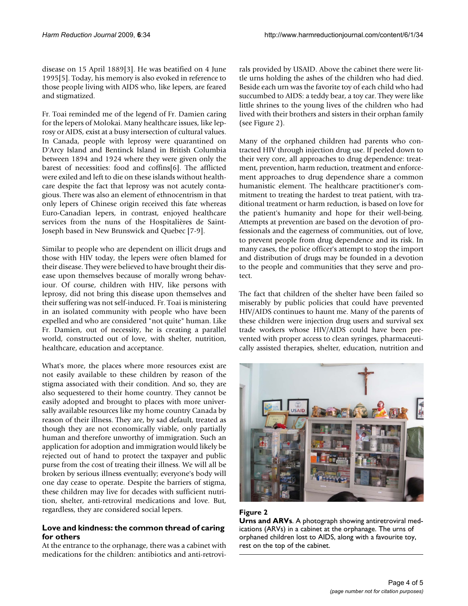disease on 15 April 1889[3]. He was beatified on 4 June 1995[5]. Today, his memory is also evoked in reference to those people living with AIDS who, like lepers, are feared and stigmatized.

Fr. Toai reminded me of the legend of Fr. Damien caring for the lepers of Molokai. Many healthcare issues, like leprosy or AIDS, exist at a busy intersection of cultural values. In Canada, people with leprosy were quarantined on D'Arcy Island and Bentinck Island in British Columbia between 1894 and 1924 where they were given only the barest of necessities: food and coffins[6]. The afflicted were exiled and left to die on these islands without healthcare despite the fact that leprosy was not acutely contagious. There was also an element of ethnocentrism in that only lepers of Chinese origin received this fate whereas Euro-Canadian lepers, in contrast, enjoyed healthcare services from the nuns of the Hospitalières de Saint-Joseph based in New Brunswick and Quebec [7-9].

Similar to people who are dependent on illicit drugs and those with HIV today, the lepers were often blamed for their disease. They were believed to have brought their disease upon themselves because of morally wrong behaviour. Of course, children with HIV, like persons with leprosy, did not bring this disease upon themselves and their suffering was not self-induced. Fr. Toai is ministering in an isolated community with people who have been expelled and who are considered "not quite" human. Like Fr. Damien, out of necessity, he is creating a parallel world, constructed out of love, with shelter, nutrition, healthcare, education and acceptance.

What's more, the places where more resources exist are not easily available to these children by reason of the stigma associated with their condition. And so, they are also sequestered to their home country. They cannot be easily adopted and brought to places with more universally available resources like my home country Canada by reason of their illness. They are, by sad default, treated as though they are not economically viable, only partially human and therefore unworthy of immigration. Such an application for adoption and immigration would likely be rejected out of hand to protect the taxpayer and public purse from the cost of treating their illness. We will all be broken by serious illness eventually; everyone's body will one day cease to operate. Despite the barriers of stigma, these children may live for decades with sufficient nutrition, shelter, anti-retroviral medications and love. But, regardless, they are considered social lepers.

## **Love and kindness: the common thread of caring for others**

At the entrance to the orphanage, there was a cabinet with medications for the children: antibiotics and anti-retrovirals provided by USAID. Above the cabinet there were little urns holding the ashes of the children who had died. Beside each urn was the favorite toy of each child who had succumbed to AIDS: a teddy bear, a toy car. They were like little shrines to the young lives of the children who had lived with their brothers and sisters in their orphan family (see Figure 2).

Many of the orphaned children had parents who contracted HIV through injection drug use. If peeled down to their very core, all approaches to drug dependence: treatment, prevention, harm reduction, treatment and enforcement approaches to drug dependence share a common humanistic element. The healthcare practitioner's commitment to treating the hardest to treat patient, with traditional treatment or harm reduction, is based on love for the patient's humanity and hope for their well-being. Attempts at prevention are based on the devotion of professionals and the eagerness of communities, out of love, to prevent people from drug dependence and its risk. In many cases, the police officer's attempt to stop the import and distribution of drugs may be founded in a devotion to the people and communities that they serve and protect.

The fact that children of the shelter have been failed so miserably by public policies that could have prevented HIV/AIDS continues to haunt me. Many of the parents of these children were injection drug users and survival sex trade workers whose HIV/AIDS could have been prevented with proper access to clean syringes, pharmaceutically assisted therapies, shelter, education, nutrition and



## **Figure 2**

**Urns and ARVs**. A photograph showing antiretroviral medications (ARVs) in a cabinet at the orphanage. The urns of orphaned children lost to AIDS, along with a favourite toy, rest on the top of the cabinet.